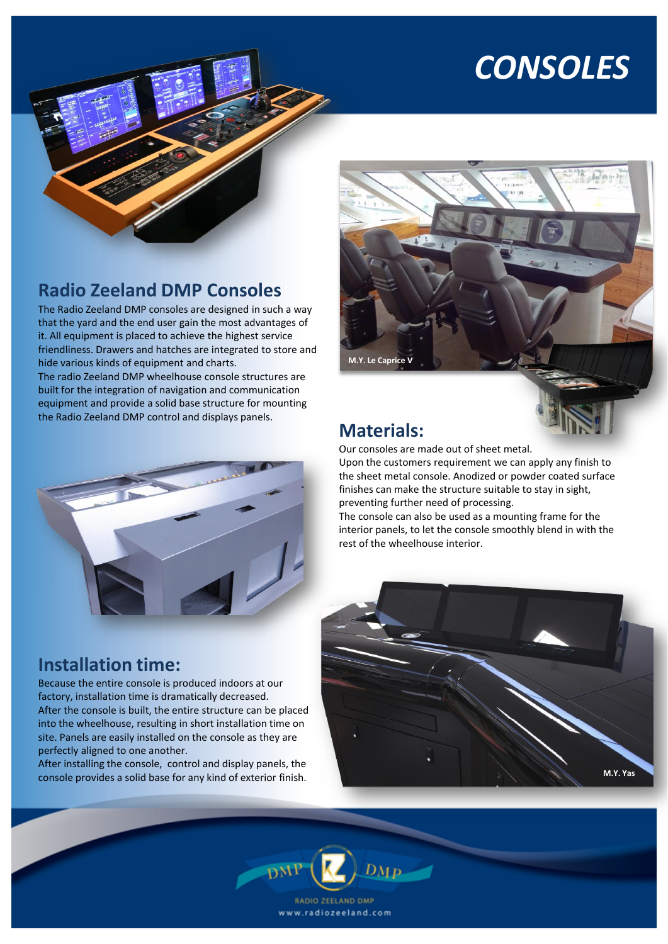# *CONSOLES*



# **Radio Zeeland DMP Consoles**

The Radio Zeeland DMP consoles are designed in such a way that the yard and the end user gain the most advantages of it. All equipment is placed to achieve the highest service friendliness. Drawers and hatches are integrated to store and hide various kinds of equipment and charts.

The radio Zeeland DMP wheelhouse console structures are built for the integration of navigation and communication equipment and provide a solid base structure for mounting the Radio Zeeland DMP control and displays panels.



## **Installation time:**

Because the entire console is produced indoors at our factory, installation time is dramatically decreased. After the console is built, the entire structure can be placed into the wheelhouse, resulting in short installation time on site. Panels are easily installed on the console as they are perfectly aligned to one another.

After installing the console, control and display panels, the console provides a solid base for any kind of exterior finish.



# **Materials:**

Our consoles are made out of sheet metal.

Upon the customers requirement we can apply any finish to the sheet metal console. Anodized or powder coated surface finishes can make the structure suitable to stay in sight, preventing further need of processing.

The console can also be used as a mounting frame for the interior panels, to let the console smoothly blend in with the rest of the wheelhouse interior.